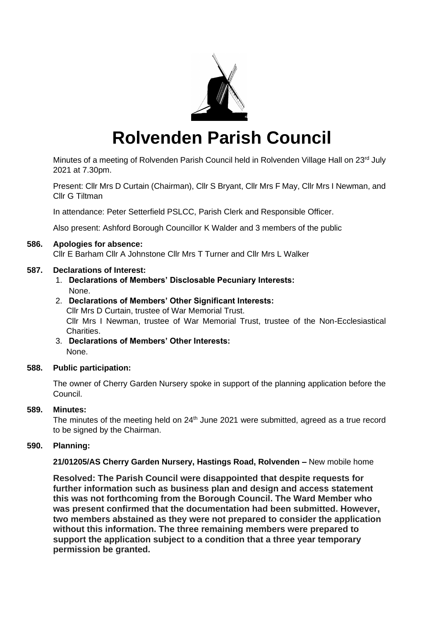

# **Rolvenden Parish Council**

Minutes of a meeting of Rolvenden Parish Council held in Rolvenden Village Hall on 23rd July 2021 at 7.30pm.

Present: Cllr Mrs D Curtain (Chairman), Cllr S Bryant, Cllr Mrs F May, Cllr Mrs I Newman, and Cllr G Tiltman

In attendance: Peter Setterfield PSLCC, Parish Clerk and Responsible Officer.

Also present: Ashford Borough Councillor K Walder and 3 members of the public

#### **586. Apologies for absence:**

Cllr E Barham Cllr A Johnstone Cllr Mrs T Turner and Cllr Mrs L Walker

#### **587. Declarations of Interest:**

1. **Declarations of Members' Disclosable Pecuniary Interests:** None.

# 2. **Declarations of Members' Other Significant Interests:**

Cllr Mrs D Curtain, trustee of War Memorial Trust. Cllr Mrs I Newman, trustee of War Memorial Trust, trustee of the Non-Ecclesiastical Charities.

3. **Declarations of Members' Other Interests:** None.

#### **588. Public participation:**

The owner of Cherry Garden Nursery spoke in support of the planning application before the Council.

#### **589. Minutes:**

The minutes of the meeting held on  $24<sup>th</sup>$  June 2021 were submitted, agreed as a true record to be signed by the Chairman.

### **590. Planning:**

**21/01205/AS Cherry Garden Nursery, Hastings Road, Rolvenden –** New mobile home

**Resolved: The Parish Council were disappointed that despite requests for further information such as business plan and design and access statement this was not forthcoming from the Borough Council. The Ward Member who was present confirmed that the documentation had been submitted. However, two members abstained as they were not prepared to consider the application without this information. The three remaining members were prepared to support the application subject to a condition that a three year temporary permission be granted.**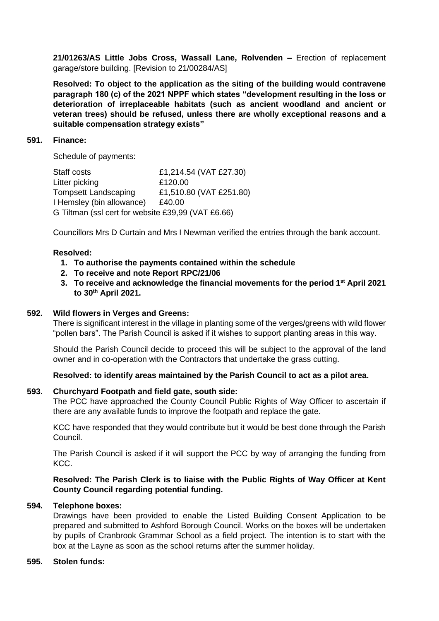**21/01263/AS Little Jobs Cross, Wassall Lane, Rolvenden –** Erection of replacement garage/store building. [Revision to 21/00284/AS]

**Resolved: To object to the application as the siting of the building would contravene paragraph 180 (c) of the 2021 NPPF which states "development resulting in the loss or deterioration of irreplaceable habitats (such as ancient woodland and ancient or veteran trees) should be refused, unless there are wholly exceptional reasons and a suitable compensation strategy exists"**

#### **591. Finance:**

Schedule of payments:

Staff costs £1,214.54 (VAT £27.30) Litter picking E120.00 Tompsett Landscaping £1,510.80 (VAT £251.80) I Hemsley (bin allowance) £40.00 G Tiltman (ssl cert for website £39,99 (VAT £6.66)

Councillors Mrs D Curtain and Mrs I Newman verified the entries through the bank account.

#### **Resolved:**

- **1. To authorise the payments contained within the schedule**
- **2. To receive and note Report RPC/21/06**
- **3. To receive and acknowledge the financial movements for the period 1st April 2021 to 30th April 2021.**

#### **592. Wild flowers in Verges and Greens:**

There is significant interest in the village in planting some of the verges/greens with wild flower "pollen bars". The Parish Council is asked if it wishes to support planting areas in this way.

Should the Parish Council decide to proceed this will be subject to the approval of the land owner and in co-operation with the Contractors that undertake the grass cutting.

#### **Resolved: to identify areas maintained by the Parish Council to act as a pilot area.**

#### **593. Churchyard Footpath and field gate, south side:**

The PCC have approached the County Council Public Rights of Way Officer to ascertain if there are any available funds to improve the footpath and replace the gate.

KCC have responded that they would contribute but it would be best done through the Parish Council.

The Parish Council is asked if it will support the PCC by way of arranging the funding from KCC.

#### **Resolved: The Parish Clerk is to liaise with the Public Rights of Way Officer at Kent County Council regarding potential funding.**

#### **594. Telephone boxes:**

Drawings have been provided to enable the Listed Building Consent Application to be prepared and submitted to Ashford Borough Council. Works on the boxes will be undertaken by pupils of Cranbrook Grammar School as a field project. The intention is to start with the box at the Layne as soon as the school returns after the summer holiday.

#### **595. Stolen funds:**